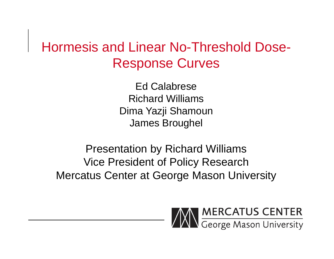### Hormesis and Linear No-Threshold Dose-Response Curves

Ed CalabreseRichard WilliamsDima Yazji Shamoun James Broughel

Presentation by Richard Williams Vice President of Policy Research Mercatus Center at George Mason University

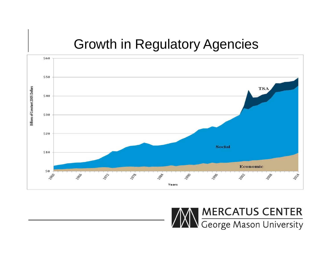### Growth in Regulatory Agencies



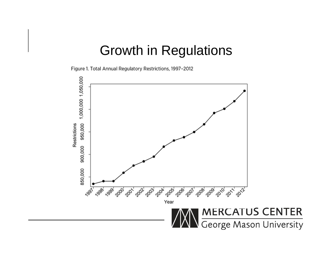#### Growth in Regulations

Figure 1. Total Annual Regulatory Restrictions, 1997-2012

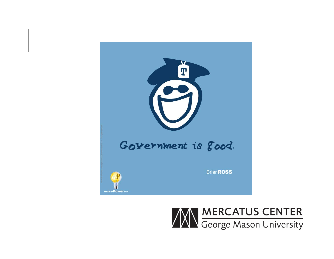

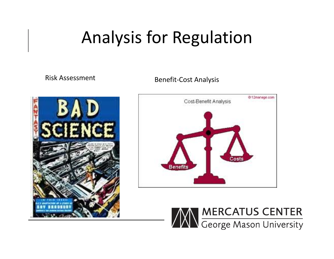# Analysis for Regulation

**Risk Assessment** 

k Assessment Benefit-Cost Analysis





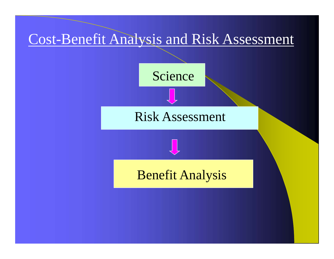





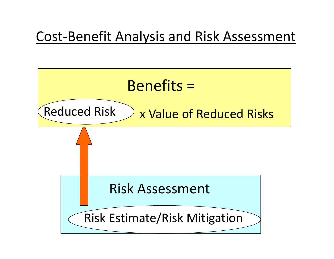### Cost‐Benefit Analysis and Risk Assessment

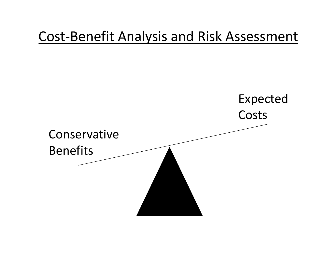### Cost‐Benefit Analysis and Risk Assessment

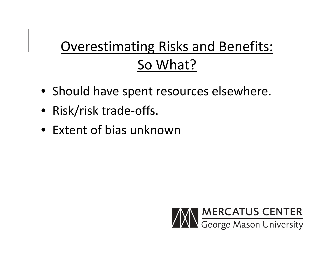# Overestimating Risks and Benefits: So What?

- Should have spent resources elsewhere.
- Risk/risk trade‐offs.
- Extent of bias unknown

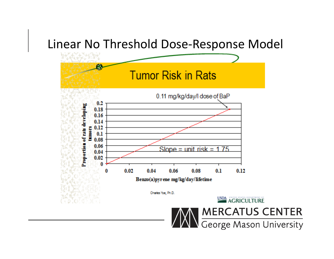#### Linear No Threshold Dose‐Response Model

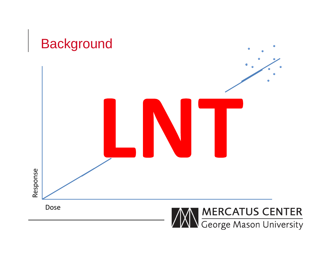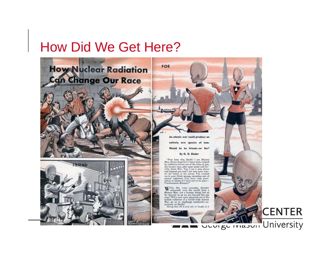### How Did We Get Here?





**CENTER** 

Shrug this off if you can or laugh at it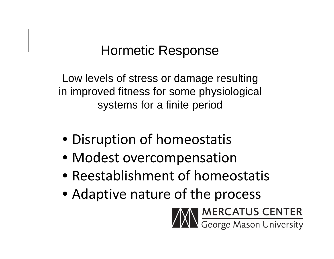### Hormetic Response

Low levels of stress or damage resulting in improved fitness for some physiological systems for a finite period

- Disruption of homeostatis
- Modest overcompensation
- Reestablishment of homeostatis
- Adaptive nature of the process

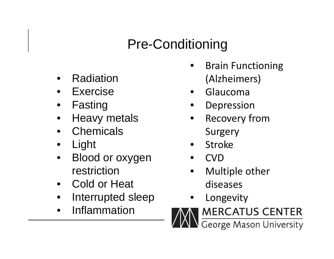## Pre-Conditioning

- •Radiation
- $\bullet$ Exercise
- $\bullet$ Fasting
- •Heavy metals
- •**Chemicals**
- •Light
- • Blood or oxygen restriction
- •Cold or Heat
- •Interrupted sleep
- •Inflammation
- •• Brain Functioning (Alzheimers)
- $\bullet$ Glaucoma
- •Depression
- • Recovery from Surgery
- •Stroke
- •CVD
- • Multiple other diseases
- •Longevity

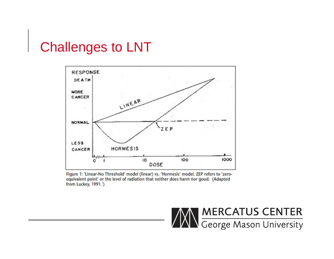#### Challenges to LNT



Figure 1: 'Linear-No Threshold' model (linear) vs. 'Hormesis' model. ZEP refers to 'zeroequivalent point' or the level of radiation that neither does harm nor good. (Adapted from Luckey, 1991.')

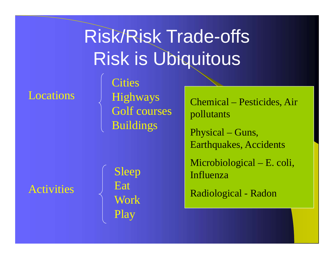#### Locations

**Cities** Highways Golf courses Buildings

Risk/Risk Trade-offs

Risk is Ubiquitous

Chemical – Pesticides, Air pollutants

Physical – Guns, Earthquakes, Accidents

Microbiological – E. coli, Influenza

Radiological - Radon

Activities

Sleep Eat Work Play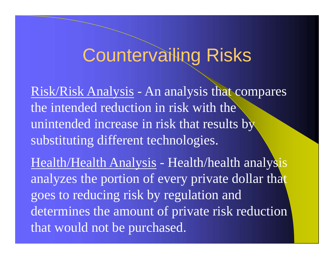# Countervailing Risks

Risk/Risk Analysis - An analysis that compares the intended reduction in risk with the unintended increase in risk that results by substituting different technologies.

Health/Health Analysis - Health/health analysis analyzes the portion of every private dollar that goes to reducing risk by regulation and determines the amount of private risk reduction that would not be purchased.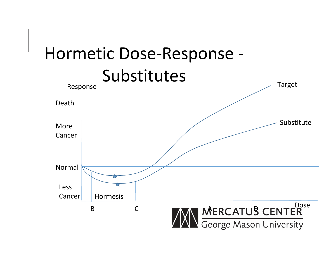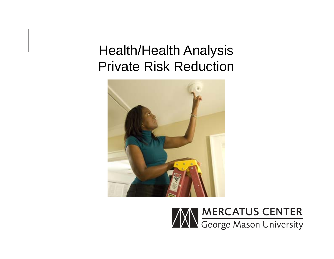### Health/Health Analysis Private Risk Reduction